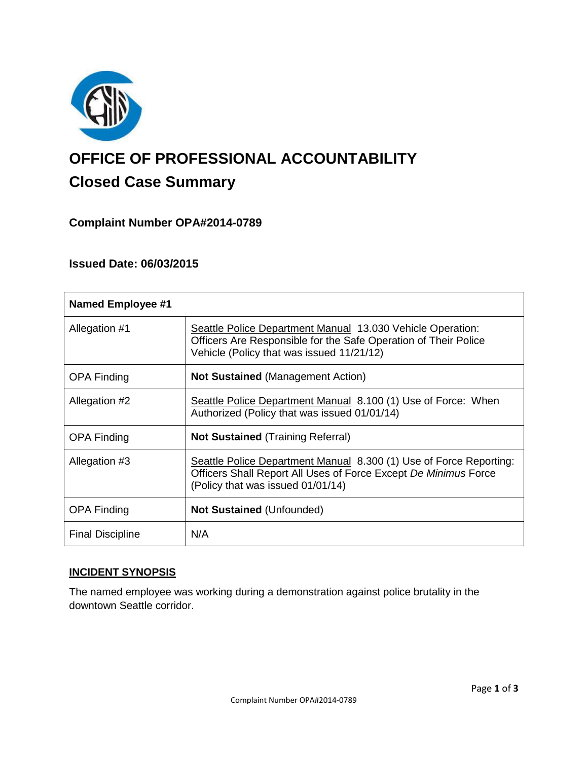

# **OFFICE OF PROFESSIONAL ACCOUNTABILITY Closed Case Summary**

# **Complaint Number OPA#2014-0789**

## **Issued Date: 06/03/2015**

| <b>Named Employee #1</b> |                                                                                                                                                                            |
|--------------------------|----------------------------------------------------------------------------------------------------------------------------------------------------------------------------|
| Allegation #1            | Seattle Police Department Manual 13.030 Vehicle Operation:<br>Officers Are Responsible for the Safe Operation of Their Police<br>Vehicle (Policy that was issued 11/21/12) |
| <b>OPA Finding</b>       | <b>Not Sustained (Management Action)</b>                                                                                                                                   |
| Allegation #2            | Seattle Police Department Manual 8.100 (1) Use of Force: When<br>Authorized (Policy that was issued 01/01/14)                                                              |
| <b>OPA Finding</b>       | <b>Not Sustained (Training Referral)</b>                                                                                                                                   |
| Allegation #3            | Seattle Police Department Manual 8.300 (1) Use of Force Reporting:<br>Officers Shall Report All Uses of Force Except De Minimus Force<br>(Policy that was issued 01/01/14) |
| <b>OPA Finding</b>       | <b>Not Sustained (Unfounded)</b>                                                                                                                                           |
| <b>Final Discipline</b>  | N/A                                                                                                                                                                        |

# **INCIDENT SYNOPSIS**

The named employee was working during a demonstration against police brutality in the downtown Seattle corridor.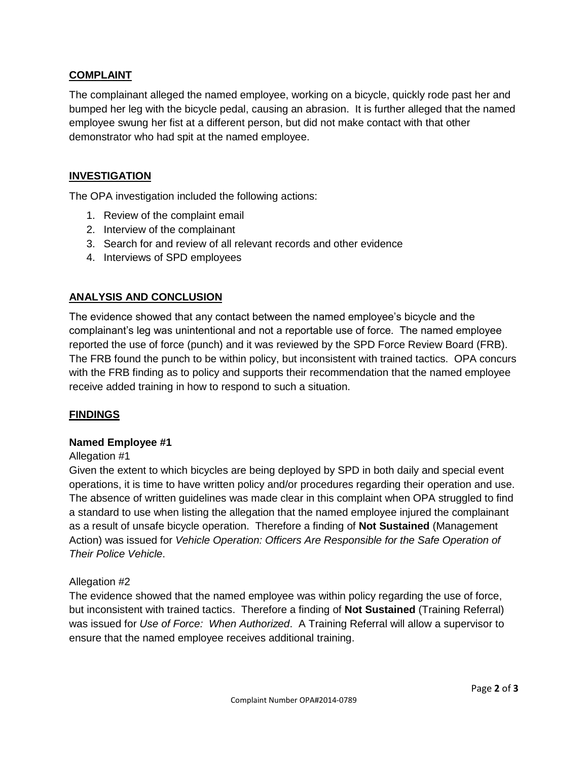## **COMPLAINT**

The complainant alleged the named employee, working on a bicycle, quickly rode past her and bumped her leg with the bicycle pedal, causing an abrasion. It is further alleged that the named employee swung her fist at a different person, but did not make contact with that other demonstrator who had spit at the named employee.

## **INVESTIGATION**

The OPA investigation included the following actions:

- 1. Review of the complaint email
- 2. Interview of the complainant
- 3. Search for and review of all relevant records and other evidence
- 4. Interviews of SPD employees

## **ANALYSIS AND CONCLUSION**

The evidence showed that any contact between the named employee's bicycle and the complainant's leg was unintentional and not a reportable use of force. The named employee reported the use of force (punch) and it was reviewed by the SPD Force Review Board (FRB). The FRB found the punch to be within policy, but inconsistent with trained tactics. OPA concurs with the FRB finding as to policy and supports their recommendation that the named employee receive added training in how to respond to such a situation.

#### **FINDINGS**

#### **Named Employee #1**

#### Allegation #1

Given the extent to which bicycles are being deployed by SPD in both daily and special event operations, it is time to have written policy and/or procedures regarding their operation and use. The absence of written guidelines was made clear in this complaint when OPA struggled to find a standard to use when listing the allegation that the named employee injured the complainant as a result of unsafe bicycle operation. Therefore a finding of **Not Sustained** (Management Action) was issued for *Vehicle Operation: Officers Are Responsible for the Safe Operation of Their Police Vehicle*.

#### Allegation #2

The evidence showed that the named employee was within policy regarding the use of force, but inconsistent with trained tactics. Therefore a finding of **Not Sustained** (Training Referral) was issued for *Use of Force: When Authorized*. A Training Referral will allow a supervisor to ensure that the named employee receives additional training.